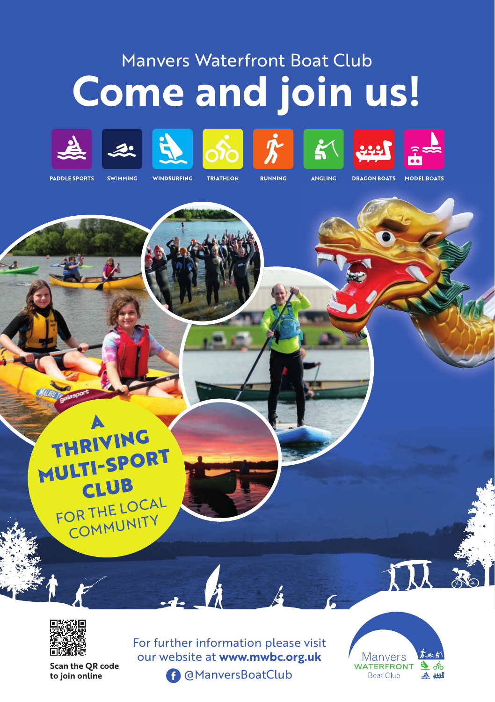## Manvers Waterfront Boat Club **Come and join us!**

















**PADDLE SPORTS** 

**SWIMMING WINDSURFING** 

**TRIATHLON** 

**RUNNING** 

ANGLING

**DRAGON BOATS** 

**MODEL BOATS** 





**to join online** 

For further information please visit our website at **www.mwbc.org.uk Scan the QR code**<br> **Scan the QR code**<br> **Scan the QR code** 

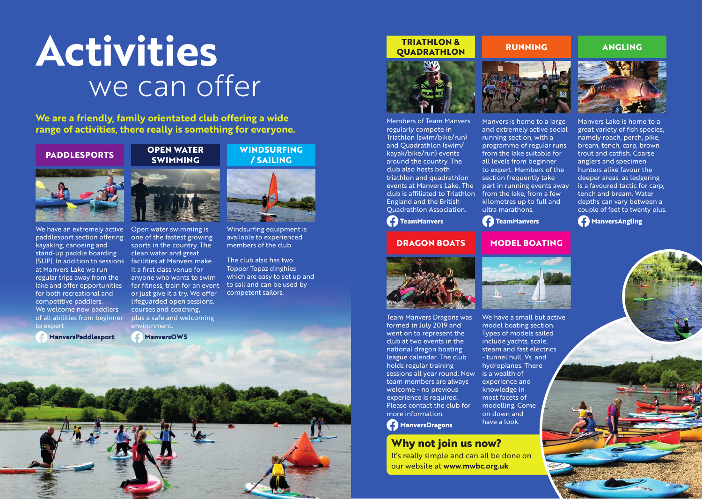# **Activities** we can offer

**We are a friendly, family orientated club offering a wide range of activities, there really is something for everyone.**

#### **PADDLESPORTS**

### **SWIMMING**

**OPEN WATER**



We have an extremely active paddlesport section offering kayaking, canoeing and stand-up paddle boarding (SUP). In addition to sessions facilities at Manvers make at Manvers Lake we run regular trips away from the lake and offer opportunities for both recreational and competitive paddlers. We welcome new paddlers of all abilities from beginner to expert.

**ManversPaddlesport**



Open water swimming is one of the fastest growing sports in the country. The clean water and great it a first class venue for anyone who wants to swim for fitness, train for an event or just give it a try. We offer lifeguarded open sessions, courses and coaching, plus a safe and welcoming environment.

**ManversOWS**



**WINDSURFING** 

Windsurfing equipment is available to experienced members of the club.

The club also has two Topper Topaz dinghies which are easy to set up and to sail and can be used by competent sailors.

#### **TRIATHLON & QUADRATHLON**

#### **RUNNING**



Members of Team Manvers regularly compete in Triathlon (swim/bike/run) and Quadrathlon (swim/ kayak/bike/run) events around the country. The club also hosts both triathlon and quadrathlon events at Manvers Lake. The club is affiliated to Triathlon England and the British Quadrathlon Association.

#### **TeamManvers**

#### **DRAGON BOATS**



Team Manvers Dragons was formed in July 2019 and went on to represent the club at two events in the national dragon boating league calendar. The club holds regular training sessions all year round. New is a wealth of team members are always welcome - no previous experience is required. Please contact the club for more information.

**ManversDragons**

#### **Why not join us now?**

It's really simple and can all be done on our website at **www.mwbc.org.uk**



Manvers is home to a large and extremely active social running section, with a programme of regular runs from the lake suitable for all levels from beginner to expert. Members of the section frequently take part in running events away from the lake, from a few kilometres up to full and ultra marathons.



#### **MODEL BOATING**



We have a small but active model boating section. Types of models sailed include yachts, scale, steam and fast electrics - tunnel hull, Vs, and hydroplanes. There experience and knowledge in most facets of modelling. Come on down and have a look.



**ANGLING**

Manvers Lake is home to a great variety of fish species, namely roach, perch, pike, bream, tench, carp, brown trout and catfish. Coarse anglers and specimen hunters alike favour the deeper areas, as ledgering is a favoured tactic for carp, tench and bream. Water depths can vary between a couple of feet to twenty plus.